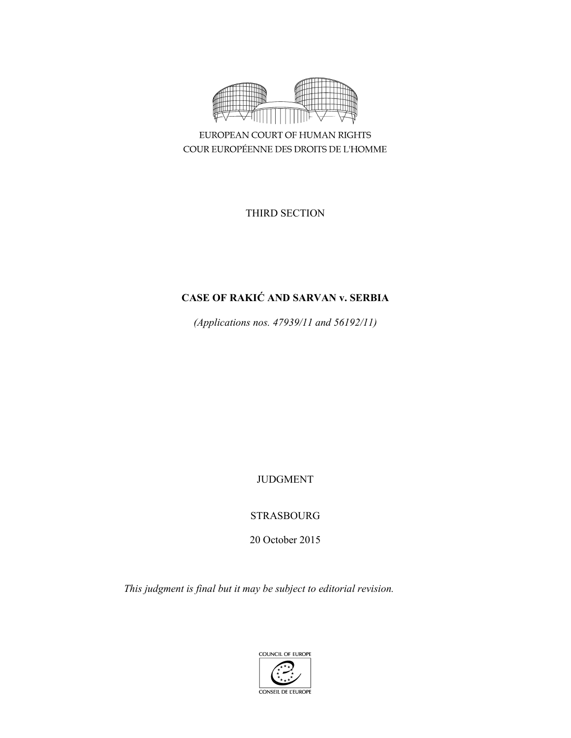

EUROPEAN COURT OF HUMAN RIGHTS COUR EUROPÉENNE DES DROITS DE L'HOMME

THIRD SECTION

# **CASE OF RAKIĆ AND SARVAN v. SERBIA**

*(Applications nos. 47939/11 and 56192/11)* 

JUDGMENT

STRASBOURG

20 October 2015

*This judgment is final but it may be subject to editorial revision.* 

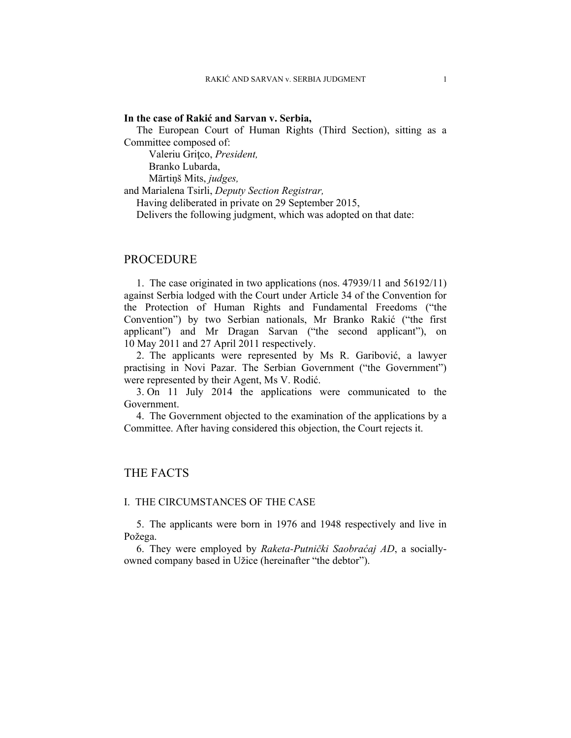#### **In the case of Rakić and Sarvan v. Serbia,**

The European Court of Human Rights (Third Section), sitting as a Committee composed of:

 Valeriu Griţco, *President,*  Branko Lubarda,

Mārtiņš Mits, *judges,*

and Marialena Tsirli, *Deputy Section Registrar,*

Having deliberated in private on 29 September 2015,

Delivers the following judgment, which was adopted on that date:

## PROCEDURE

1. The case originated in two applications (nos. 47939/11 and 56192/11) against Serbia lodged with the Court under Article 34 of the Convention for the Protection of Human Rights and Fundamental Freedoms ("the Convention") by two Serbian nationals, Mr Branko Rakić ("the first applicant") and Mr Dragan Sarvan ("the second applicant"), on 10 May 2011 and 27 April 2011 respectively.

2. The applicants were represented by Ms R. Garibović, a lawyer practising in Novi Pazar. The Serbian Government ("the Government") were represented by their Agent, Ms V. Rodić.

3. On 11 July 2014 the applications were communicated to the Government.

4. The Government objected to the examination of the applications by a Committee. After having considered this objection, the Court rejects it.

## THE FACTS

### I. THE CIRCUMSTANCES OF THE CASE

5. The applicants were born in 1976 and 1948 respectively and live in Požega.

6. They were employed by *Raketa-Putnički Saobraćaj AD*, a sociallyowned company based in Užice (hereinafter "the debtor").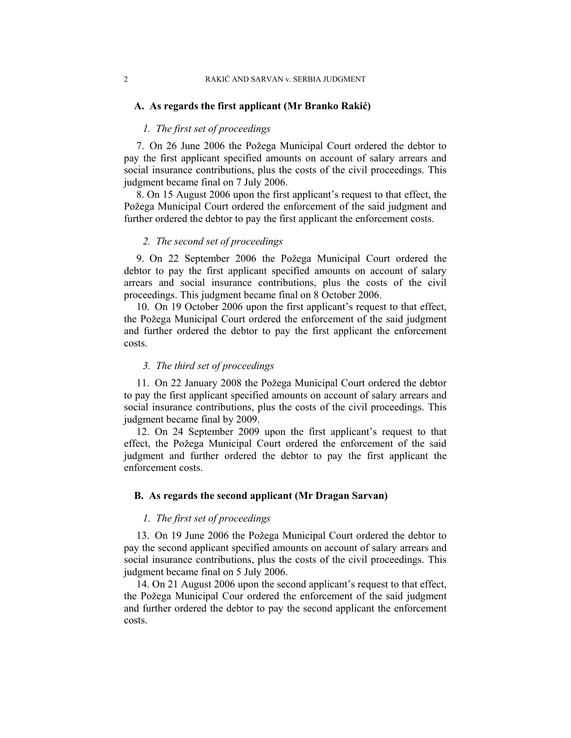#### **A. As regards the first applicant (Mr Branko Rakić)**

## *1. The first set of proceedings*

7. On 26 June 2006 the Požega Municipal Court ordered the debtor to pay the first applicant specified amounts on account of salary arrears and social insurance contributions, plus the costs of the civil proceedings. This judgment became final on 7 July 2006.

8. On 15 August 2006 upon the first applicant's request to that effect, the Požega Municipal Court ordered the enforcement of the said judgment and further ordered the debtor to pay the first applicant the enforcement costs.

#### *2. The second set of proceedings*

9. On 22 September 2006 the Požega Municipal Court ordered the debtor to pay the first applicant specified amounts on account of salary arrears and social insurance contributions, plus the costs of the civil proceedings. This judgment became final on 8 October 2006.

10. On 19 October 2006 upon the first applicant's request to that effect, the Požega Municipal Court ordered the enforcement of the said judgment and further ordered the debtor to pay the first applicant the enforcement costs.

#### *3. The third set of proceedings*

11. On 22 January 2008 the Požega Municipal Court ordered the debtor to pay the first applicant specified amounts on account of salary arrears and social insurance contributions, plus the costs of the civil proceedings. This judgment became final by 2009.

12. On 24 September 2009 upon the first applicant's request to that effect, the Požega Municipal Court ordered the enforcement of the said judgment and further ordered the debtor to pay the first applicant the enforcement costs.

#### **B. As regards the second applicant (Mr Dragan Sarvan)**

### *1. The first set of proceedings*

13. On 19 June 2006 the Požega Municipal Court ordered the debtor to pay the second applicant specified amounts on account of salary arrears and social insurance contributions, plus the costs of the civil proceedings. This judgment became final on 5 July 2006.

14. On 21 August 2006 upon the second applicant's request to that effect, the Požega Municipal Cour ordered the enforcement of the said judgment and further ordered the debtor to pay the second applicant the enforcement costs.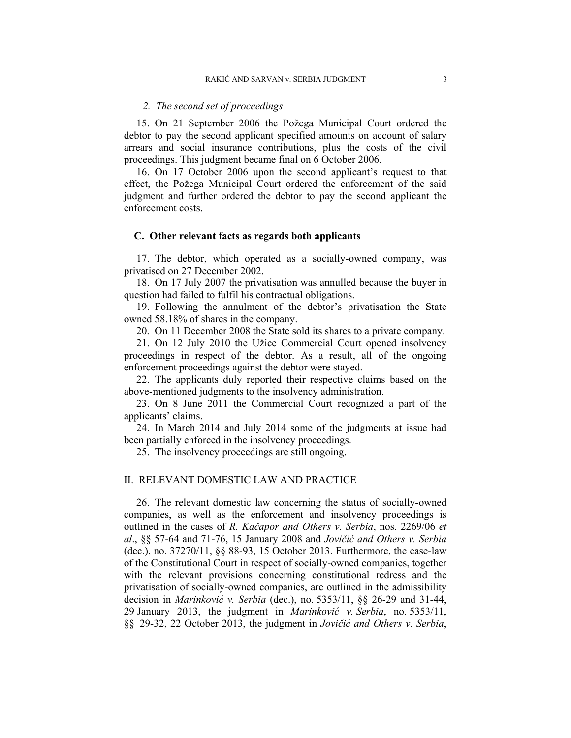#### *2. The second set of proceedings*

15. On 21 September 2006 the Požega Municipal Court ordered the debtor to pay the second applicant specified amounts on account of salary arrears and social insurance contributions, plus the costs of the civil proceedings. This judgment became final on 6 October 2006.

16. On 17 October 2006 upon the second applicant's request to that effect, the Požega Municipal Court ordered the enforcement of the said judgment and further ordered the debtor to pay the second applicant the enforcement costs.

#### **C. Other relevant facts as regards both applicants**

17. The debtor, which operated as a socially-owned company, was privatised on 27 December 2002.

18. On 17 July 2007 the privatisation was annulled because the buyer in question had failed to fulfil his contractual obligations.

19. Following the annulment of the debtor's privatisation the State owned 58.18% of shares in the company.

20. On 11 December 2008 the State sold its shares to a private company.

21. On 12 July 2010 the Užice Commercial Court opened insolvency proceedings in respect of the debtor. As a result, all of the ongoing enforcement proceedings against the debtor were stayed.

22. The applicants duly reported their respective claims based on the above-mentioned judgments to the insolvency administration.

23. On 8 June 2011 the Commercial Court recognized a part of the applicants' claims.

24. In March 2014 and July 2014 some of the judgments at issue had been partially enforced in the insolvency proceedings.

25. The insolvency proceedings are still ongoing.

#### II. RELEVANT DOMESTIC LAW AND PRACTICE

26. The relevant domestic law concerning the status of socially-owned companies, as well as the enforcement and insolvency proceedings is outlined in the cases of *R. Kačapor and Others v. Serbia*, nos. 2269/06 *et al*., §§ 57-64 and 71-76, 15 January 2008 and *Jovičić and Others v. Serbia* (dec.), no. 37270/11, §§ 88-93, 15 October 2013. Furthermore, the case-law of the Constitutional Court in respect of socially-owned companies, together with the relevant provisions concerning constitutional redress and the privatisation of socially-owned companies, are outlined in the admissibility decision in *Marinković v. Serbia* (dec.), no. 5353/11, §§ 26-29 and 31-44, 29 January 2013, the judgment in *Marinković v. Serbia*, no. 5353/11, §§ 29-32, 22 October 2013, the judgment in *Jovičić and Others v. Serbia*,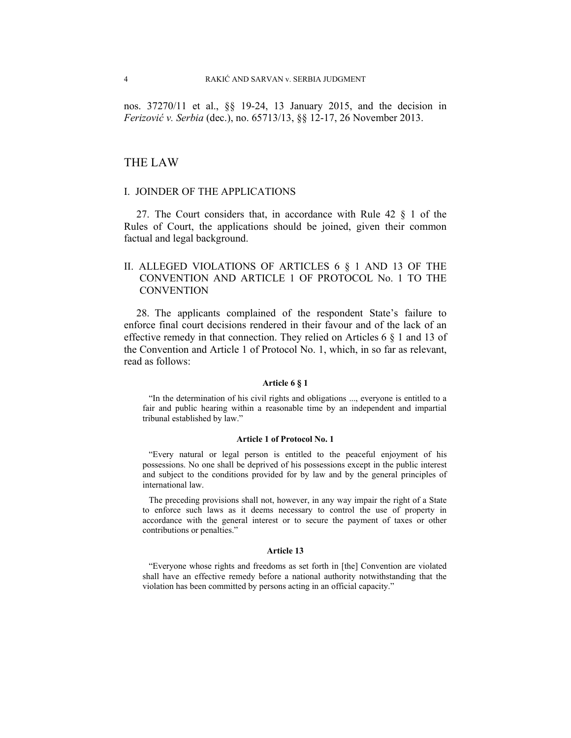nos. 37270/11 et al., §§ 19-24, 13 January 2015, and the decision in *Ferizović v. Serbia* (dec.), no. 65713/13, §§ 12-17, 26 November 2013.

### THE LAW

## I. JOINDER OF THE APPLICATIONS

27. The Court considers that, in accordance with Rule 42 § 1 of the Rules of Court, the applications should be joined, given their common factual and legal background.

## II. ALLEGED VIOLATIONS OF ARTICLES 6 § 1 AND 13 OF THE CONVENTION AND ARTICLE 1 OF PROTOCOL No. 1 TO THE CONVENTION

28. The applicants complained of the respondent State's failure to enforce final court decisions rendered in their favour and of the lack of an effective remedy in that connection. They relied on Articles 6 § 1 and 13 of the Convention and Article 1 of Protocol No. 1, which, in so far as relevant, read as follows:

#### **Article 6 § 1**

"In the determination of his civil rights and obligations ..., everyone is entitled to a fair and public hearing within a reasonable time by an independent and impartial tribunal established by law."

#### **Article 1 of Protocol No. 1**

"Every natural or legal person is entitled to the peaceful enjoyment of his possessions. No one shall be deprived of his possessions except in the public interest and subject to the conditions provided for by law and by the general principles of international law.

The preceding provisions shall not, however, in any way impair the right of a State to enforce such laws as it deems necessary to control the use of property in accordance with the general interest or to secure the payment of taxes or other contributions or penalties."

#### **Article 13**

"Everyone whose rights and freedoms as set forth in [the] Convention are violated shall have an effective remedy before a national authority notwithstanding that the violation has been committed by persons acting in an official capacity."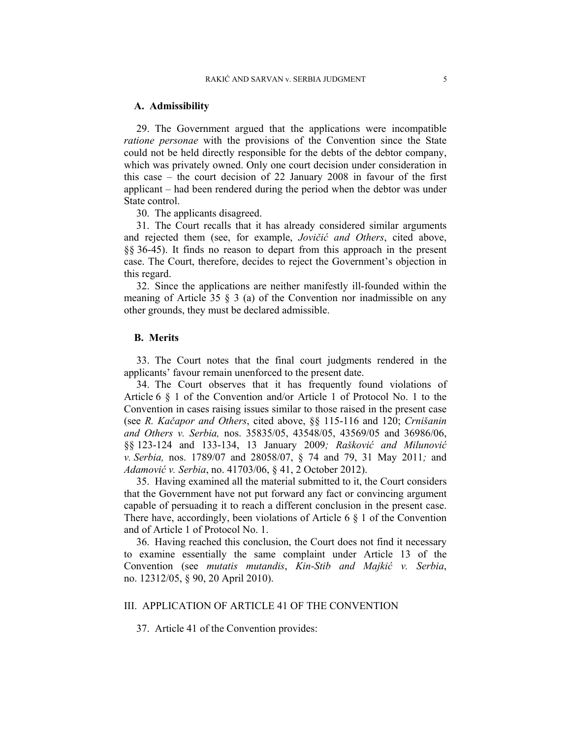#### **A. Admissibility**

29. The Government argued that the applications were incompatible *ratione personae* with the provisions of the Convention since the State could not be held directly responsible for the debts of the debtor company, which was privately owned. Only one court decision under consideration in this case – the court decision of 22 January 2008 in favour of the first applicant – had been rendered during the period when the debtor was under State control.

30. The applicants disagreed.

31. The Court recalls that it has already considered similar arguments and rejected them (see, for example, *Jovičić and Others*, cited above, §§ 36-45). It finds no reason to depart from this approach in the present case. The Court, therefore, decides to reject the Government's objection in this regard.

32. Since the applications are neither manifestly ill-founded within the meaning of Article 35  $\frac{8}{3}$  (a) of the Convention nor inadmissible on any other grounds, they must be declared admissible.

### **B. Merits**

33. The Court notes that the final court judgments rendered in the applicants' favour remain unenforced to the present date.

34. The Court observes that it has frequently found violations of Article 6 § 1 of the Convention and/or Article 1 of Protocol No. 1 to the Convention in cases raising issues similar to those raised in the present case (see *R. Kačapor and Others*, cited above, §§ 115-116 and 120; *Crnišanin and Others v. Serbia,* nos. 35835/05, 43548/05, 43569/05 and 36986/06, §§ 123-124 and 133-134, 13 January 2009*; Rašković and Milunović v. Serbia,* nos. 1789/07 and 28058/07, § 74 and 79, 31 May 2011*;* and *Adamović v. Serbia*, no. 41703/06, § 41, 2 October 2012).

35. Having examined all the material submitted to it, the Court considers that the Government have not put forward any fact or convincing argument capable of persuading it to reach a different conclusion in the present case. There have, accordingly, been violations of Article 6 § 1 of the Convention and of Article 1 of Protocol No. 1.

36. Having reached this conclusion, the Court does not find it necessary to examine essentially the same complaint under Article 13 of the Convention (see *mutatis mutandis*, *Kin-Stib and Majkić v. Serbia*, no. 12312/05, § 90, 20 April 2010).

## III. APPLICATION OF ARTICLE 41 OF THE CONVENTION

37. Article 41 of the Convention provides: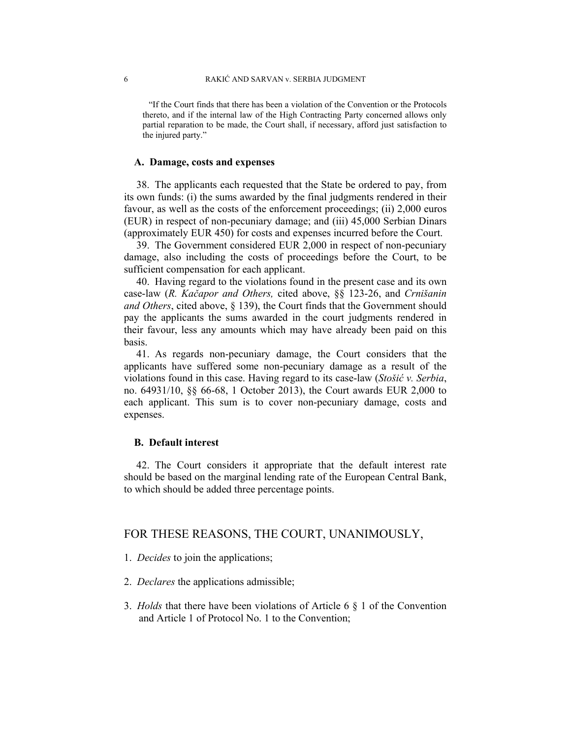"If the Court finds that there has been a violation of the Convention or the Protocols thereto, and if the internal law of the High Contracting Party concerned allows only partial reparation to be made, the Court shall, if necessary, afford just satisfaction to the injured party."

#### **A. Damage, costs and expenses**

38. The applicants each requested that the State be ordered to pay, from its own funds: (i) the sums awarded by the final judgments rendered in their favour, as well as the costs of the enforcement proceedings; (ii) 2,000 euros (EUR) in respect of non-pecuniary damage; and (iii) 45,000 Serbian Dinars (approximately EUR 450) for costs and expenses incurred before the Court.

39. The Government considered EUR 2,000 in respect of non-pecuniary damage, also including the costs of proceedings before the Court, to be sufficient compensation for each applicant.

40. Having regard to the violations found in the present case and its own case-law (*R. Kačapor and Others,* cited above, §§ 123-26, and *Crnišanin and Others*, cited above, § 139), the Court finds that the Government should pay the applicants the sums awarded in the court judgments rendered in their favour, less any amounts which may have already been paid on this basis.

41. As regards non-pecuniary damage, the Court considers that the applicants have suffered some non-pecuniary damage as a result of the violations found in this case. Having regard to its case-law (*Stošić v. Serbia*, no. 64931/10, §§ 66-68, 1 October 2013), the Court awards EUR 2,000 to each applicant. This sum is to cover non-pecuniary damage, costs and expenses.

#### **B. Default interest**

42. The Court considers it appropriate that the default interest rate should be based on the marginal lending rate of the European Central Bank, to which should be added three percentage points.

## FOR THESE REASONS, THE COURT, UNANIMOUSLY,

- 1. *Decides* to join the applications;
- 2. *Declares* the applications admissible;
- 3. *Holds* that there have been violations of Article 6 § 1 of the Convention and Article 1 of Protocol No. 1 to the Convention;